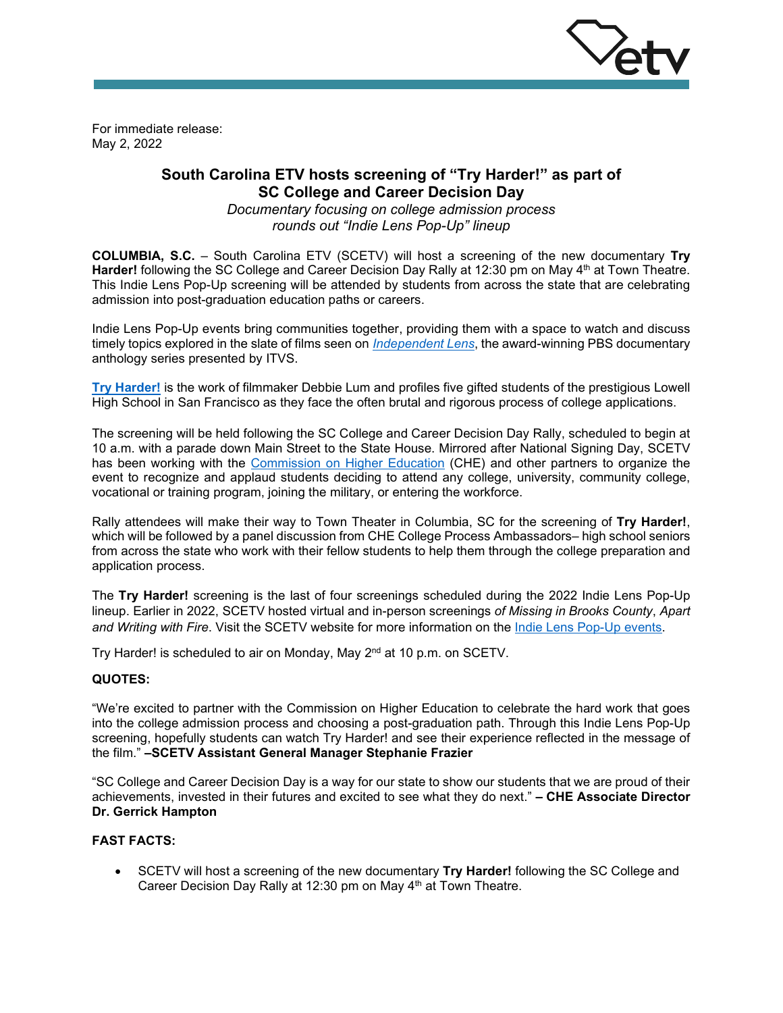

For immediate release: May 2, 2022

# **South Carolina ETV hosts screening of "Try Harder!" as part of SC College and Career Decision Day**

*Documentary focusing on college admission process rounds out "Indie Lens Pop-Up" lineup*

**COLUMBIA, S.C.** – South Carolina ETV (SCETV) will host a screening of the new documentary **Try**  Harder! following the SC College and Career Decision Day Rally at 12:30 pm on May 4<sup>th</sup> at Town Theatre. This Indie Lens Pop-Up screening will be attended by students from across the state that are celebrating admission into post-graduation education paths or careers.

Indie Lens Pop-Up events bring communities together, providing them with a space to watch and discuss timely topics explored in the slate of films seen on *[Independent Lens](https://www.scetv.org/watch/independent-lens)*, the award-winning PBS documentary anthology series presented by ITVS.

**[Try Harder!](https://www.youtube.com/watch?v=IGnda1KG6xY)** is the work of filmmaker Debbie Lum and profiles five gifted students of the prestigious Lowell High School in San Francisco as they face the often brutal and rigorous process of college applications.

The screening will be held following the SC College and Career Decision Day Rally, scheduled to begin at 10 a.m. with a parade down Main Street to the State House. Mirrored after National Signing Day, SCETV has been working with the [Commission on Higher Education](https://www.che.sc.gov/) (CHE) and other partners to organize the event to recognize and applaud students deciding to attend any college, university, community college, vocational or training program, joining the military, or entering the workforce.

Rally attendees will make their way to Town Theater in Columbia, SC for the screening of **Try Harder!**, which will be followed by a panel discussion from CHE College Process Ambassadors– high school seniors from across the state who work with their fellow students to help them through the college preparation and application process.

The **Try Harder!** screening is the last of four screenings scheduled during the 2022 Indie Lens Pop-Up lineup. Earlier in 2022, SCETV hosted virtual and in-person screenings *of Missing in Brooks County*, *Apart*  and Writing with Fire. Visit the SCETV website for more information on the *Indie Lens Pop-Up events*.

Try Harder! is scheduled to air on Monday, May 2<sup>nd</sup> at 10 p.m. on SCETV.

### **QUOTES:**

"We're excited to partner with the Commission on Higher Education to celebrate the hard work that goes into the college admission process and choosing a post-graduation path. Through this Indie Lens Pop-Up screening, hopefully students can watch Try Harder! and see their experience reflected in the message of the film." **–SCETV Assistant General Manager Stephanie Frazier**

"SC College and Career Decision Day is a way for our state to show our students that we are proud of their achievements, invested in their futures and excited to see what they do next." **– CHE Associate Director Dr. Gerrick Hampton**

#### **FAST FACTS:**

• SCETV will host a screening of the new documentary **Try Harder!** following the SC College and Career Decision Day Rally at 12:30 pm on May 4<sup>th</sup> at Town Theatre.